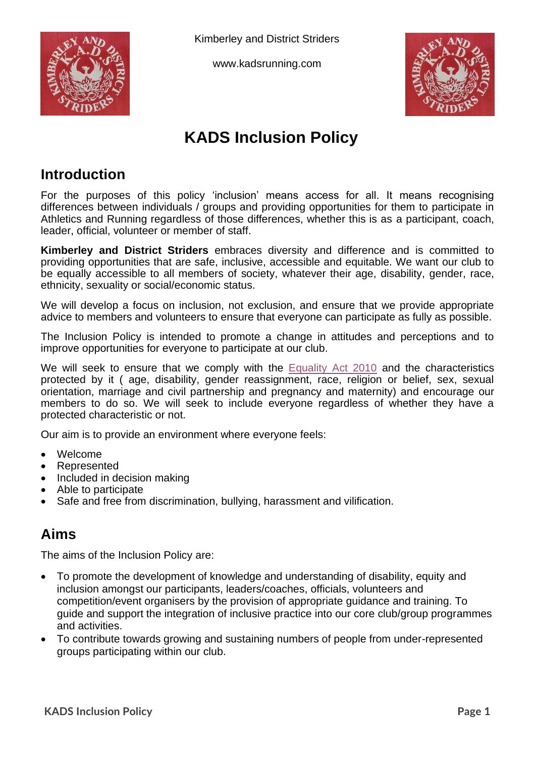

Kimberley and District Striders

www.kadsrunning.com



# **KADS Inclusion Policy**

### **Introduction**

For the purposes of this policy 'inclusion' means access for all. It means recognising differences between individuals / groups and providing opportunities for them to participate in Athletics and Running regardless of those differences, whether this is as a participant, coach, leader, official, volunteer or member of staff.

**Kimberley and District Striders** embraces diversity and difference and is committed to providing opportunities that are safe, inclusive, accessible and equitable. We want our club to be equally accessible to all members of society, whatever their age, disability, gender, race, ethnicity, sexuality or social/economic status.

We will develop a focus on inclusion, not exclusion, and ensure that we provide appropriate advice to members and volunteers to ensure that everyone can participate as fully as possible.

The Inclusion Policy is intended to promote a change in attitudes and perceptions and to improve opportunities for everyone to participate at our club.

We will seek to ensure that we comply with the **[Equality Act 2010](https://www.gov.uk/guidance/equality-act-2010-guidance)** and the characteristics protected by it ( age, disability, gender reassignment, race, religion or belief, sex, sexual orientation, marriage and civil partnership and pregnancy and maternity) and encourage our members to do so. We will seek to include everyone regardless of whether they have a protected characteristic or not.

Our aim is to provide an environment where everyone feels:

- Welcome
- **Represented**
- Included in decision making
- Able to participate
- Safe and free from discrimination, bullying, harassment and vilification.

#### **Aims**

The aims of the Inclusion Policy are:

- To promote the development of knowledge and understanding of disability, equity and inclusion amongst our participants, leaders/coaches, officials, volunteers and competition/event organisers by the provision of appropriate guidance and training. To guide and support the integration of inclusive practice into our core club/group programmes and activities.
- To contribute towards growing and sustaining numbers of people from under-represented groups participating within our club.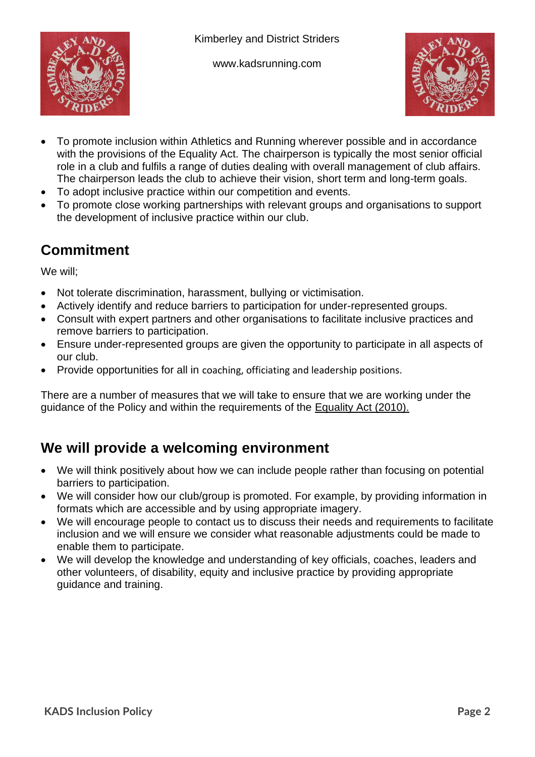

www.kadsrunning.com



- To promote inclusion within Athletics and Running wherever possible and in accordance with the provisions of the Equality Act. The chairperson is typically the most senior official role in a club and fulfils a range of duties dealing with overall management of club affairs. The chairperson leads the club to achieve their vision, short term and long-term goals.
- To adopt inclusive practice within our competition and events.
- To promote close working partnerships with relevant groups and organisations to support the development of inclusive practice within our club.

# **Commitment**

We will;

- Not tolerate discrimination, harassment, bullying or victimisation.
- Actively identify and reduce barriers to participation for under-represented groups.
- Consult with expert partners and other organisations to facilitate inclusive practices and remove barriers to participation.
- Ensure under-represented groups are given the opportunity to participate in all aspects of our club.
- Provide opportunities for all in coaching, officiating and leadership positions.

There are a number of measures that we will take to ensure that we are working under the guidance of the Policy and within the requirements of the [Equality Act \(2010\).](https://www.gov.uk/guidance/equality-act-2010-guidance)

## **We will provide a welcoming environment**

- We will think positively about how we can include people rather than focusing on potential barriers to participation.
- We will consider how our club/group is promoted. For example, by providing information in formats which are accessible and by using appropriate imagery.
- We will encourage people to contact us to discuss their needs and requirements to facilitate inclusion and we will ensure we consider what reasonable adjustments could be made to enable them to participate.
- We will develop the knowledge and understanding of key officials, coaches, leaders and other volunteers, of disability, equity and inclusive practice by providing appropriate guidance and training.